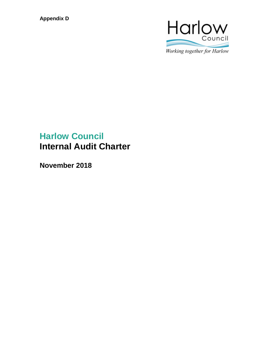**Appendix D**



# **Harlow Council Internal Audit Charter**

**November 2018**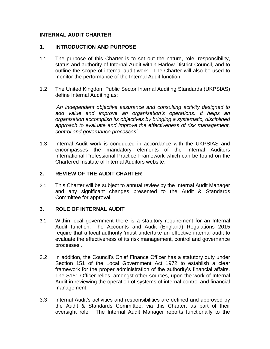# **INTERNAL AUDIT CHARTER**

#### **1. INTRODUCTION AND PURPOSE**

- 1.1 The purpose of this Charter is to set out the nature, role, responsibility, status and authority of Internal Audit within Harlow District Council, and to outline the scope of internal audit work. The Charter will also be used to monitor the performance of the Internal Audit function.
- 1.2 The United Kingdom Public Sector Internal Auditing Standards (UKPSIAS) define Internal Auditing as:

'*An independent objective assurance and consulting activity designed to add value and improve an organisation's operations. It helps an organisation accomplish its objectives by bringing a systematic, disciplined approach to evaluate and improve the effectiveness of risk management, control and governance processes'*.

1.3 Internal Audit work is conducted in accordance with the UKPSIAS and encompasses the mandatory elements of the Internal Auditors International Professional Practice Framework which can be found on the Chartered Institute of Internal Auditors website.

### **2. REVIEW OF THE AUDIT CHARTER**

2.1 This Charter will be subject to annual review by the Internal Audit Manager and any significant changes presented to the Audit & Standards Committee for approval.

#### **3. ROLE OF INTERNAL AUDIT**

- 3.1 Within local government there is a statutory requirement for an Internal Audit function. The Accounts and Audit (England) Regulations 2015 require that a local authority 'must undertake an effective internal audit to evaluate the effectiveness of its risk management, control and governance processes'.
- 3.2 In addition, the Council's Chief Finance Officer has a statutory duty under Section 151 of the Local Government Act 1972 to establish a clear framework for the proper administration of the authority's financial affairs. The S151 Officer relies, amongst other sources, upon the work of Internal Audit in reviewing the operation of systems of internal control and financial management.
- 3.3 Internal Audit's activities and responsibilities are defined and approved by the Audit & Standards Committee, via this Charter, as part of their oversight role. The Internal Audit Manager reports functionally to the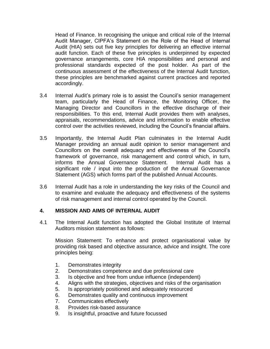Head of Finance. In recognising the unique and critical role of the Internal Audit Manager, CIPFA's Statement on the Role of the Head of Internal Audit (HIA) sets out five key principles for delivering an effective internal audit function. Each of these five principles is underpinned by expected governance arrangements, core HIA responsibilities and personal and professional standards expected of the post holder. As part of the continuous assessment of the effectiveness of the Internal Audit function, these principles are benchmarked against current practices and reported accordingly.

- 3.4 Internal Audit's primary role is to assist the Council's senior management team, particularly the Head of Finance, the Monitoring Officer, the Managing Director and Councillors in the effective discharge of their responsibilities. To this end, Internal Audit provides them with analyses, appraisals, recommendations, advice and information to enable effective control over the activities reviewed, including the Council's financial affairs.
- 3.5 Importantly, the Internal Audit Plan culminates in the Internal Audit Manager providing an annual audit opinion to senior management and Councillors on the overall adequacy and effectiveness of the Council's framework of governance, risk management and control which, in turn, informs the Annual Governance Statement. Internal Audit has a significant role / input into the production of the Annual Governance Statement (AGS) which forms part of the published Annual Accounts.
- 3.6 Internal Audit has a role in understanding the key risks of the Council and to examine and evaluate the adequacy and effectiveness of the systems of risk management and internal control operated by the Council.

# **4. MISSION AND AIMS OF INTERNAL AUDIT**

4.1 The Internal Audit function has adopted the Global Institute of Internal Auditors mission statement as follows:

Mission Statement: To enhance and protect organisational value by providing risk based and objective assurance, advice and insight. The core principles being:

- 1. Demonstrates integrity
- 2. Demonstrates competence and due professional care
- 3. Is objective and free from undue influence (independent)
- 4. Aligns with the strategies, objectives and risks of the organisation
- 5. Is appropriately positioned and adequately resourced
- 6. Demonstrates quality and continuous improvement
- 7. Communicates effectively
- 8. Provides risk-based assurance
- 9. Is insightful, proactive and future focussed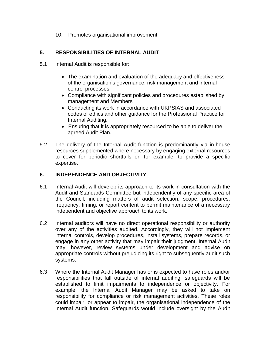10. Promotes organisational improvement

# **5. RESPONSIBILITIES OF INTERNAL AUDIT**

- 5.1 Internal Audit is responsible for:
	- The examination and evaluation of the adequacy and effectiveness of the organisation's governance, risk management and internal control processes.
	- Compliance with significant policies and procedures established by management and Members
	- Conducting its work in accordance with UKPSIAS and associated codes of ethics and other guidance for the Professional Practice for Internal Auditing.
	- Ensuring that it is appropriately resourced to be able to deliver the agreed Audit Plan.
- 5.2 The delivery of the Internal Audit function is predominantly via in-house resources supplemented where necessary by engaging external resources to cover for periodic shortfalls or, for example, to provide a specific expertise.

# **6. INDEPENDENCE AND OBJECTIVITY**

- 6.1 Internal Audit will develop its approach to its work in consultation with the Audit and Standards Committee but independently of any specific area of the Council, including matters of audit selection, scope, procedures, frequency, timing, or report content to permit maintenance of a necessary independent and objective approach to its work.
- 6.2 Internal auditors will have no direct operational responsibility or authority over any of the activities audited. Accordingly, they will not implement internal controls, develop procedures, install systems, prepare records, or engage in any other activity that may impair their judgment. Internal Audit may, however, review systems under development and advise on appropriate controls without prejudicing its right to subsequently audit such systems.
- 6.3 Where the Internal Audit Manager has or is expected to have roles and/or responsibilities that fall outside of internal auditing, safeguards will be established to limit impairments to independence or objectivity. For example, the Internal Audit Manager may be asked to take on responsibility for compliance or risk management activities. These roles could impair, or appear to impair, the organisational independence of the Internal Audit function. Safeguards would include oversight by the Audit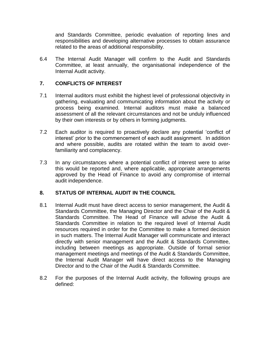and Standards Committee, periodic evaluation of reporting lines and responsibilities and developing alternative processes to obtain assurance related to the areas of additional responsibility.

6.4 The Internal Audit Manager will confirm to the Audit and Standards Committee, at least annually, the organisational independence of the Internal Audit activity.

# **7. CONFLICTS OF INTEREST**

- 7.1 Internal auditors must exhibit the highest level of professional objectivity in gathering, evaluating and communicating information about the activity or process being examined. Internal auditors must make a balanced assessment of all the relevant circumstances and not be unduly influenced by their own interests or by others in forming judgments.
- 7.2 Each auditor is required to proactively declare any potential 'conflict of interest' prior to the commencement of each audit assignment. In addition and where possible, audits are rotated within the team to avoid overfamiliarity and complacency.
- 7.3 In any circumstances where a potential conflict of interest were to arise this would be reported and, where applicable, appropriate arrangements approved by the Head of Finance to avoid any compromise of internal audit independence.

#### **8. STATUS OF INTERNAL AUDIT IN THE COUNCIL**

- 8.1 Internal Audit must have direct access to senior management, the Audit & Standards Committee, the Managing Director and the Chair of the Audit & Standards Committee. The Head of Finance will advise the Audit & Standards Committee in relation to the required level of Internal Audit resources required in order for the Committee to make a formed decision in such matters. The Internal Audit Manager will communicate and interact directly with senior management and the Audit & Standards Committee, including between meetings as appropriate. Outside of formal senior management meetings and meetings of the Audit & Standards Committee, the Internal Audit Manager will have direct access to the Managing Director and to the Chair of the Audit & Standards Committee.
- 8.2 For the purposes of the Internal Audit activity, the following groups are defined: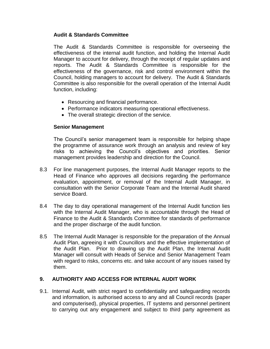#### **Audit & Standards Committee**

The Audit & Standards Committee is responsible for overseeing the effectiveness of the internal audit function, and holding the Internal Audit Manager to account for delivery, through the receipt of regular updates and reports. The Audit & Standards Committee is responsible for the effectiveness of the governance, risk and control environment within the Council, holding managers to account for delivery. The Audit & Standards Committee is also responsible for the overall operation of the Internal Audit function, including:

- Resourcing and financial performance.
- Performance indicators measuring operational effectiveness.
- The overall strategic direction of the service.

# **Senior Management**

The Council's senior management team is responsible for helping shape the programme of assurance work through an analysis and review of key risks to achieving the Council's objectives and priorities. Senior management provides leadership and direction for the Council.

- 8.3 For line management purposes, the Internal Audit Manager reports to the Head of Finance who approves all decisions regarding the performance evaluation, appointment, or removal of the Internal Audit Manager, in consultation with the Senior Corporate Team and the Internal Audit shared service Board.
- 8.4 The day to day operational management of the Internal Audit function lies with the Internal Audit Manager, who is accountable through the Head of Finance to the Audit & Standards Committee for standards of performance and the proper discharge of the audit function.
- 8.5 The Internal Audit Manager is responsible for the preparation of the Annual Audit Plan, agreeing it with Councillors and the effective implementation of the Audit Plan. Prior to drawing up the Audit Plan, the Internal Audit Manager will consult with Heads of Service and Senior Management Team with regard to risks, concerns etc. and take account of any issues raised by them.

#### **9. AUTHORITY AND ACCESS FOR INTERNAL AUDIT WORK**

9.1. Internal Audit, with strict regard to confidentiality and safeguarding records and information, is authorised access to any and all Council records (paper and computerised), physical properties, IT systems and personnel pertinent to carrying out any engagement and subject to third party agreement as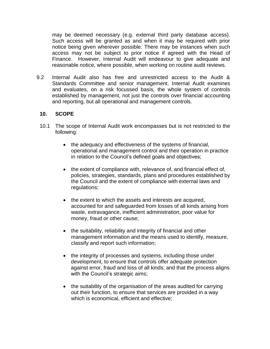may be deemed necessary (e.g. external third party database access). Such access will be granted as and when it may be required with prior notice being given wherever possible. There may be instances when such access may not be subject to prior notice if agreed with the Head of Finance. However, Internal Audit will endeavour to give adequate and reasonable notice, where possible, when working on routine audit reviews.

9.2 Internal Audit also has free and unrestricted access to the Audit & Standards Committee and senior management. Internal Audit examines and evaluates, on a risk focussed basis, the whole system of controls established by management, not just the controls over financial accounting and reporting, but all operational and management controls.

# **10. SCOPE**

- 10.1 The scope of Internal Audit work encompasses but is not restricted to the following:
	- the adequacy and effectiveness of the systems of financial, operational and management control and their operation in practice in relation to the Council's defined goals and objectives;
	- the extent of compliance with, relevance of, and financial effect of, policies, strategies, standards, plans and procedures established by the Council and the extent of compliance with external laws and regulations;
	- the extent to which the assets and interests are acquired, accounted for and safeguarded from losses of all kinds arising from waste, extravagance, inefficient administration, poor value for money, fraud or other cause;
	- the suitability, reliability and integrity of financial and other management information and the means used to identify, measure, classify and report such information;
	- the integrity of processes and systems, including those under development, to ensure that controls offer adequate protection against error, fraud and loss of all kinds; and that the process aligns with the Council's strategic aims;
	- the suitability of the organisation of the areas audited for carrying out their function, to ensure that services are provided in a way which is economical, efficient and effective;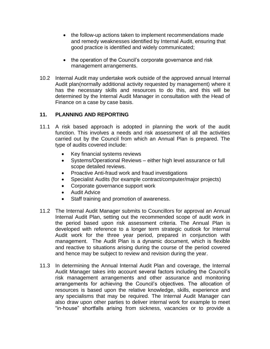- the follow-up actions taken to implement recommendations made and remedy weaknesses identified by Internal Audit, ensuring that good practice is identified and widely communicated;
- the operation of the Council's corporate governance and risk management arrangements.
- 10.2 Internal Audit may undertake work outside of the approved annual Internal Audit plan(normally additional activity requested by management) where it has the necessary skills and resources to do this, and this will be determined by the Internal Audit Manager in consultation with the Head of Finance on a case by case basis.

# **11. PLANNING AND REPORTING**

- 11.1 A risk based approach is adopted in planning the work of the audit function. This involves a needs and risk assessment of all the activities carried out by the Council from which an Annual Plan is prepared. The type of audits covered include:
	- Key financial systems reviews
	- Systems/Operational Reviews either high level assurance or full scope detailed reviews.
	- Proactive Anti-fraud work and fraud investigations
	- Specialist Audits (for example contract/computer/major projects)
	- Corporate governance support work
	- Audit Advice
	- Staff training and promotion of awareness.
- 11.2 The Internal Audit Manager submits to Councillors for approval an Annual Internal Audit Plan, setting out the recommended scope of audit work in the period based upon risk assessment criteria. The Annual Plan is developed with reference to a longer term strategic outlook for Internal Audit work for the three year period, prepared in conjunction with management. The Audit Plan is a dynamic document, which is flexible and reactive to situations arising during the course of the period covered and hence may be subject to review and revision during the year.
- 11.3 In determining the Annual Internal Audit Plan and coverage, the Internal Audit Manager takes into account several factors including the Council's risk management arrangements and other assurance and monitoring arrangements for achieving the Council's objectives. The allocation of resources is based upon the relative knowledge, skills, experience and any specialisms that may be required. The Internal Audit Manager can also draw upon other parties to deliver internal work for example to meet "in-house" shortfalls arising from sickness, vacancies or to provide a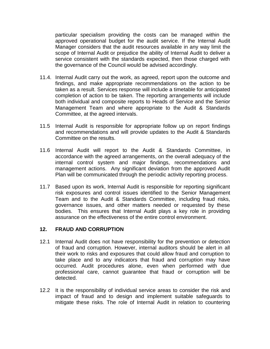particular specialism providing the costs can be managed within the approved operational budget for the audit service. If the Internal Audit Manager considers that the audit resources available in any way limit the scope of Internal Audit or prejudice the ability of Internal Audit to deliver a service consistent with the standards expected, then those charged with the governance of the Council would be advised accordingly.

- 11.4. Internal Audit carry out the work, as agreed, report upon the outcome and findings, and make appropriate recommendations on the action to be taken as a result. Services response will include a timetable for anticipated completion of action to be taken. The reporting arrangements will include both individual and composite reports to Heads of Service and the Senior Management Team and where appropriate to the Audit & Standards Committee, at the agreed intervals.
- 11.5 Internal Audit is responsible for appropriate follow up on report findings and recommendations and will provide updates to the Audit & Standards Committee on the results.
- 11.6 Internal Audit will report to the Audit & Standards Committee, in accordance with the agreed arrangements, on the overall adequacy of the internal control system and major findings, recommendations and management actions. Any significant deviation from the approved Audit Plan will be communicated through the periodic activity reporting process.
- 11.7 Based upon its work, Internal Audit is responsible for reporting significant risk exposures and control issues identified to the Senior Management Team and to the Audit & Standards Committee, including fraud risks, governance issues, and other matters needed or requested by these bodies. This ensures that Internal Audit plays a key role in providing assurance on the effectiveness of the entire control environment.

#### **12. FRAUD AND CORRUPTION**

- 12.1 Internal Audit does not have responsibility for the prevention or detection of fraud and corruption. However, internal auditors should be alert in all their work to risks and exposures that could allow fraud and corruption to take place and to any indicators that fraud and corruption may have occurred. Audit procedures alone, even when performed with due professional care, cannot guarantee that fraud or corruption will be detected.
- 12.2 It is the responsibility of individual service areas to consider the risk and impact of fraud and to design and implement suitable safeguards to mitigate these risks. The role of Internal Audit in relation to countering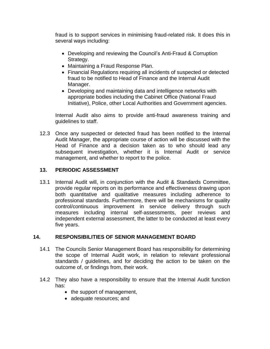fraud is to support services in minimising fraud-related risk. It does this in several ways including:

- Developing and reviewing the Council's Anti-Fraud & Corruption Strategy.
- Maintaining a Fraud Response Plan.
- Financial Regulations requiring all incidents of suspected or detected fraud to be notified to Head of Finance and the Internal Audit Manager.
- Developing and maintaining data and intelligence networks with appropriate bodies including the Cabinet Office (National Fraud Initiative), Police, other Local Authorities and Government agencies.

Internal Audit also aims to provide anti-fraud awareness training and guidelines to staff.

12.3 Once any suspected or detected fraud has been notified to the Internal Audit Manager, the appropriate course of action will be discussed with the Head of Finance and a decision taken as to who should lead any subsequent investigation, whether it is Internal Audit or service management, and whether to report to the police.

# **13. PERIODIC ASSESSMENT**

13.1 Internal Audit will, in conjunction with the Audit & Standards Committee, provide regular reports on its performance and effectiveness drawing upon both quantitative and qualitative measures including adherence to professional standards. Furthermore, there will be mechanisms for quality control/continuous improvement in service delivery through such measures including internal self-assessments, peer reviews and independent external assessment, the latter to be conducted at least every five years.

#### **14. RESPONSIBILITIES OF SENIOR MANAGEMENT BOARD**

- 14.1 The Councils Senior Management Board has responsibility for determining the scope of Internal Audit work, in relation to relevant professional standards / guidelines, and for deciding the action to be taken on the outcome of, or findings from, their work.
- 14.2 They also have a responsibility to ensure that the Internal Audit function has:
	- the support of management,
	- adequate resources; and